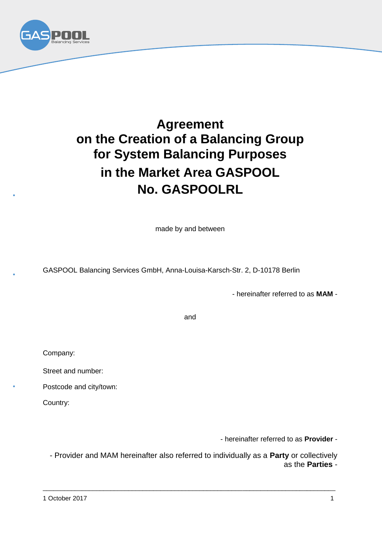

# **Agreement on the Creation of a Balancing Group for System Balancing Purposes in the Market Area GASPOOL No. GASPOOLRL**

made by and between

GASPOOL Balancing Services GmbH, Anna-Louisa-Karsch-Str. 2, D-10178 Berlin

- hereinafter referred to as **MAM** -

and

Company:

Street and number:

Postcode and city/town:

Country:

- hereinafter referred to as **Provider** -

- Provider and MAM hereinafter also referred to individually as a **Party** or collectively as the **Parties** -

\_\_\_\_\_\_\_\_\_\_\_\_\_\_\_\_\_\_\_\_\_\_\_\_\_\_\_\_\_\_\_\_\_\_\_\_\_\_\_\_\_\_\_\_\_\_\_\_\_\_\_\_\_\_\_\_\_\_\_\_\_\_\_\_\_\_\_\_\_\_\_\_\_\_\_\_\_\_\_\_\_\_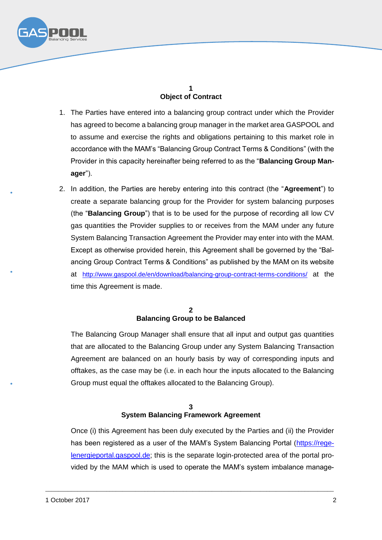

## **1 Object of Contract**

- 1. The Parties have entered into a balancing group contract under which the Provider has agreed to become a balancing group manager in the market area GASPOOL and to assume and exercise the rights and obligations pertaining to this market role in accordance with the MAM's "Balancing Group Contract Terms & Conditions" (with the Provider in this capacity hereinafter being referred to as the "**Balancing Group Manager**").
- 2. In addition, the Parties are hereby entering into this contract (the "**Agreement**") to create a separate balancing group for the Provider for system balancing purposes (the "**Balancing Group**") that is to be used for the purpose of recording all low CV gas quantities the Provider supplies to or receives from the MAM under any future System Balancing Transaction Agreement the Provider may enter into with the MAM. Except as otherwise provided herein, this Agreement shall be governed by the "Balancing Group Contract Terms & Conditions" as published by the MAM on its website at <http://www.gaspool.de/en/download/balancing-group-contract-terms-conditions/> at the time this Agreement is made.

#### **2 Balancing Group to be Balanced**

The Balancing Group Manager shall ensure that all input and output gas quantities that are allocated to the Balancing Group under any System Balancing Transaction Agreement are balanced on an hourly basis by way of corresponding inputs and offtakes, as the case may be (i.e. in each hour the inputs allocated to the Balancing Group must equal the offtakes allocated to the Balancing Group).

# **3 System Balancing Framework Agreement**

\_\_\_\_\_\_\_\_\_\_\_\_\_\_\_\_\_\_\_\_\_\_\_\_\_\_\_\_\_\_\_\_\_\_\_\_\_\_\_\_\_\_\_\_\_\_\_\_\_\_\_\_\_\_\_\_\_\_\_\_\_\_\_\_\_\_\_\_\_\_\_\_\_\_\_\_\_\_\_\_\_\_\_\_\_\_\_\_\_\_

Once (i) this Agreement has been duly executed by the Parties and (ii) the Provider has been registered as a user of the MAM's System Balancing Portal [\(https://rege](https://regelenergieportal.gaspool.de/)[lenergieportal.gaspool.de;](https://regelenergieportal.gaspool.de/) this is the separate login-protected area of the portal provided by the MAM which is used to operate the MAM's system imbalance manage-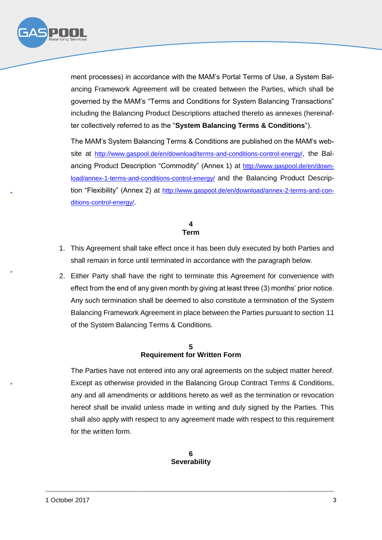

ment processes) in accordance with the MAM's Portal Terms of Use, a System Balancing Framework Agreement will be created between the Parties, which shall be governed by the MAM's "Terms and Conditions for System Balancing Transactions" including the Balancing Product Descriptions attached thereto as annexes (hereinafter collectively referred to as the "**System Balancing Terms & Conditions**").

The MAM's System Balancing Terms & Conditions are published on the MAM's website at <http://www.gaspool.de/en/download/terms-and-conditions-control-energy/>, the Balancing Product Description "Commodity" (Annex 1) at [http://www.gaspool.de/en/down](http://www.gaspool.de/en/download/annex-1-terms-and-conditions-control-energy/)[load/annex-1-terms-and-conditions-control-energy/](http://www.gaspool.de/en/download/annex-1-terms-and-conditions-control-energy/) and the Balancing Product Description "Flexibility" (Annex 2) at [http://www.gaspool.de/en/download/annex-2-terms-and-con](http://www.gaspool.de/en/download/annex-2-terms-and-conditions-control-energy/)[ditions-control-energy/](http://www.gaspool.de/en/download/annex-2-terms-and-conditions-control-energy/).

# **4 Term**

- 1. This Agreement shall take effect once it has been duly executed by both Parties and shall remain in force until terminated in accordance with the paragraph below.
- 2. Either Party shall have the right to terminate this Agreement for convenience with effect from the end of any given month by giving at least three (3) months' prior notice. Any such termination shall be deemed to also constitute a termination of the System Balancing Framework Agreement in place between the Parties pursuant to section 11 of the System Balancing Terms & Conditions.

# **5 Requirement for Written Form**

The Parties have not entered into any oral agreements on the subject matter hereof. Except as otherwise provided in the Balancing Group Contract Terms & Conditions, any and all amendments or additions hereto as well as the termination or revocation hereof shall be invalid unless made in writing and duly signed by the Parties. This shall also apply with respect to any agreement made with respect to this requirement for the written form.

# **6 Severability**

\_\_\_\_\_\_\_\_\_\_\_\_\_\_\_\_\_\_\_\_\_\_\_\_\_\_\_\_\_\_\_\_\_\_\_\_\_\_\_\_\_\_\_\_\_\_\_\_\_\_\_\_\_\_\_\_\_\_\_\_\_\_\_\_\_\_\_\_\_\_\_\_\_\_\_\_\_\_\_\_\_\_\_\_\_\_\_\_\_\_